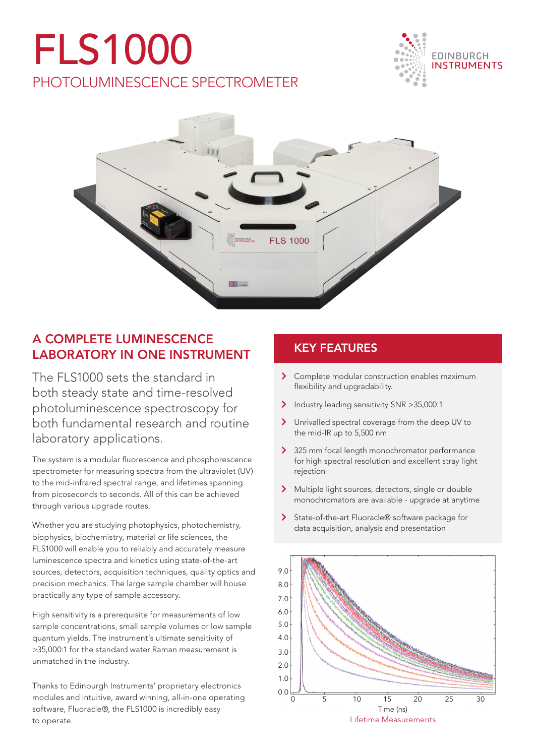## FLS1000 PHOTOLUMINESCENCE SPECTROMETER





## A COMPLETE LUMINESCENCE LABORATORY IN ONE INSTRUMENT

The FLS1000 sets the standard in both steady state and time-resolved photoluminescence spectroscopy for both fundamental research and routine laboratory applications.

The system is a modular fluorescence and phosphorescence spectrometer for measuring spectra from the ultraviolet (UV) to the mid-infrared spectral range, and lifetimes spanning from picoseconds to seconds. All of this can be achieved through various upgrade routes.

Whether you are studying photophysics, photochemistry, biophysics, biochemistry, material or life sciences, the FLS1000 will enable you to reliably and accurately measure luminescence spectra and kinetics using state-of-the-art sources, detectors, acquisition techniques, quality optics and precision mechanics. The large sample chamber will house practically any type of sample accessory.

High sensitivity is a prerequisite for measurements of low sample concentrations, small sample volumes or low sample quantum yields. The instrument's ultimate sensitivity of >35,000:1 for the standard water Raman measurement is unmatched in the industry.

Thanks to Edinburgh Instruments' proprietary electronics modules and intuitive, award winning, all-in-one operating software, Fluoracle®, the FLS1000 is incredibly easy to operate.

## KEY FEATURES

- > Complete modular construction enables maximum flexibility and upgradability.
- Industry leading sensitivity SNR > 35,000:1
- > Unrivalled spectral coverage from the deep UV to the mid-IR up to 5,500 nm
- > 325 mm focal length monochromator performance for high spectral resolution and excellent stray light rejection
- > Multiple light sources, detectors, single or double monochromators are available - upgrade at anytime
- > State-of-the-art Fluoracle® software package for data acquisition, analysis and presentation